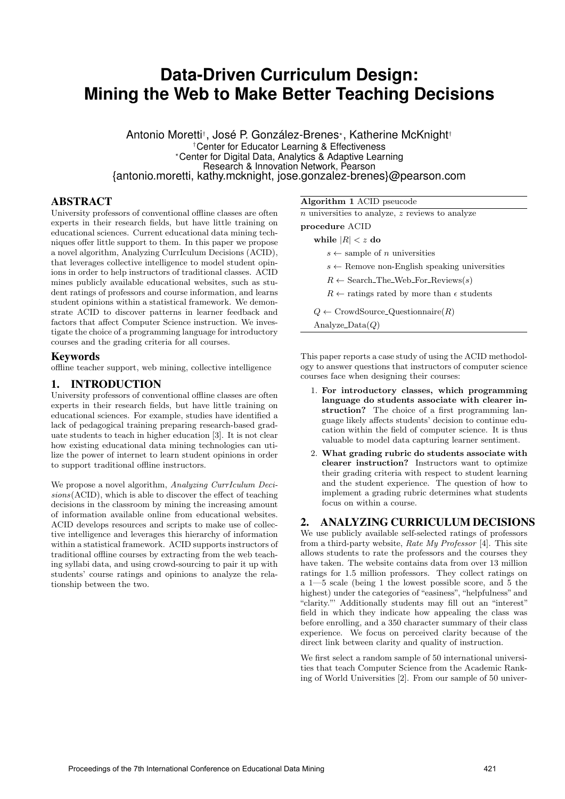# **Data-Driven Curriculum Design: Mining the Web to Make Better Teaching Decisions**

Antonio Moretti† , José P. González-Brenes? , Katherine McKnight† †Center for Educator Learning & Effectiveness ?Center for Digital Data, Analytics & Adaptive Learning Research & Innovation Network, Pearson {antonio.moretti, kathy.mcknight, jose.gonzalez-brenes}@pearson.com

## ABSTRACT

University professors of conventional offline classes are often experts in their research fields, but have little training on educational sciences. Current educational data mining techniques offer little support to them. In this paper we propose a novel algorithm, Analyzing CurrIculum Decisions (ACID), that leverages collective intelligence to model student opinions in order to help instructors of traditional classes. ACID mines publicly available educational websites, such as student ratings of professors and course information, and learns student opinions within a statistical framework. We demonstrate ACID to discover patterns in learner feedback and factors that affect Computer Science instruction. We investigate the choice of a programming language for introductory courses and the grading criteria for all courses.

## Keywords

offline teacher support, web mining, collective intelligence

## 1. INTRODUCTION

University professors of conventional offline classes are often experts in their research fields, but have little training on educational sciences. For example, studies have identified a lack of pedagogical training preparing research-based graduate students to teach in higher education [3]. It is not clear how existing educational data mining technologies can utilize the power of internet to learn student opinions in order to support traditional offline instructors.

We propose a novel algorithm, Analyzing CurrIculum Decisions(ACID), which is able to discover the effect of teaching decisions in the classroom by mining the increasing amount of information available online from educational websites. ACID develops resources and scripts to make use of collective intelligence and leverages this hierarchy of information within a statistical framework. ACID supports instructors of traditional offline courses by extracting from the web teaching syllabi data, and using crowd-sourcing to pair it up with students' course ratings and opinions to analyze the relationship between the two.

Algorithm 1 ACID pseucode

|  | $n$ universities to analyze, $z$ reviews to analyze |  |  |  |  |  |  |  |
|--|-----------------------------------------------------|--|--|--|--|--|--|--|
|--|-----------------------------------------------------|--|--|--|--|--|--|--|

procedure ACID

while  $|R| < z$  do

 $s \leftarrow$  sample of *n* universities

 $s \leftarrow$  Remove non-English speaking universities

 $R \leftarrow$  Search\_The\_Web\_For\_Reviews(s)

 $R \leftarrow$  ratings rated by more than  $\epsilon$  students

 $Q \leftarrow$  CrowdSource\_Questionnaire(R)

Analyze\_ $Data(Q)$ 

This paper reports a case study of using the ACID methodology to answer questions that instructors of computer science courses face when designing their courses:

- 1. For introductory classes, which programming language do students associate with clearer instruction? The choice of a first programming language likely affects students' decision to continue education within the field of computer science. It is thus valuable to model data capturing learner sentiment.
- 2. What grading rubric do students associate with clearer instruction? Instructors want to optimize their grading criteria with respect to student learning and the student experience. The question of how to implement a grading rubric determines what students focus on within a course.

#### 2. ANALYZING CURRICULUM DECISIONS

We use publicly available self-selected ratings of professors from a third-party website, Rate My Professor [4]. This site allows students to rate the professors and the courses they have taken. The website contains data from over 13 million ratings for 1.5 million professors. They collect ratings on a 1—5 scale (being 1 the lowest possible score, and 5 the highest) under the categories of "easiness", "helpfulness" and "clarity."' Additionally students may fill out an "interest" field in which they indicate how appealing the class was before enrolling, and a 350 character summary of their class experience. We focus on perceived clarity because of the direct link between clarity and quality of instruction.

We first select a random sample of 50 international universities that teach Computer Science from the Academic Ranking of World Universities [2]. From our sample of 50 univer-